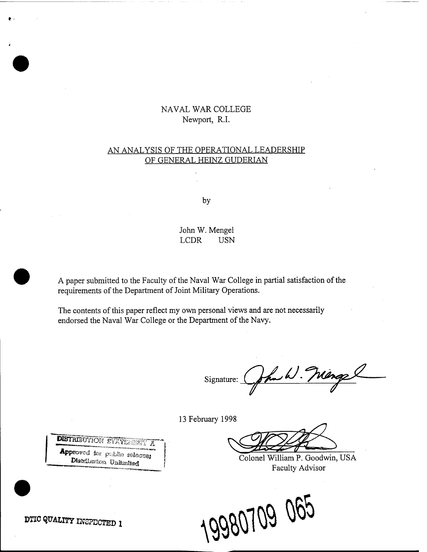# NAVAL WAR COLLEGE Newport, R.I.

## AN ANALYSIS OF THE OPERATIONAL LEADERSHIP OF GENERAL HEINZ GUDERIAN

by

## John W. Mengel LCDR USN

A paper submitted to the Faculty of the Naval War College in partial satisfaction of the requirements of the Department of Joint Military Operations.

The contents of this paper reflect my own personal views and are not necessarily endorsed the Naval War College or the Department of the Navy.

Signature: Cohn W. Mange

13 February 1998

**Approved the public subspaces** (Colonel William P. Goodwin, USA Faculty Advisor



**DISTRIBUTION STATERONE** À

**DTIC QUALITY INSPECTED 1** 

**•**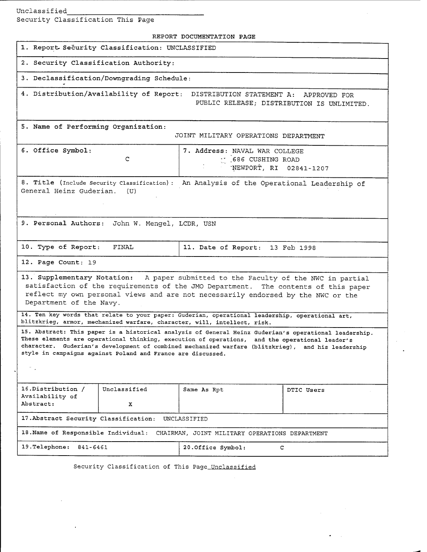Unclassified\_

Security Classification This Page

| REPORT DOCUMENTATION PAGE                                                                                                                                                                                                                                                                                                                                                   |                   |                                                                                |            |
|-----------------------------------------------------------------------------------------------------------------------------------------------------------------------------------------------------------------------------------------------------------------------------------------------------------------------------------------------------------------------------|-------------------|--------------------------------------------------------------------------------|------------|
| 1. Report Security Classification: UNCLASSIFIED                                                                                                                                                                                                                                                                                                                             |                   |                                                                                |            |
| 2. Security Classification Authority:                                                                                                                                                                                                                                                                                                                                       |                   |                                                                                |            |
| 3. Declassification/Downgrading Schedule:                                                                                                                                                                                                                                                                                                                                   |                   |                                                                                |            |
| 4. Distribution/Availability of Report: DISTRIBUTION STATEMENT A: APPROVED FOR<br>PUBLIC RELEASE; DISTRIBUTION IS UNLIMITED.                                                                                                                                                                                                                                                |                   |                                                                                |            |
| 5. Name of Performing Organization:<br>JOINT MILITARY OPERATIONS DEPARTMENT                                                                                                                                                                                                                                                                                                 |                   |                                                                                |            |
| 6. Office Symbol:                                                                                                                                                                                                                                                                                                                                                           | C                 | 7. Address: NAVAL WAR COLLEGE<br>: 686 CUSHING ROAD<br>'NEWPORT, RI 02841-1207 |            |
| 8. Title (Include Security Classification):<br>An Analysis of the Operational Leadership of<br>General Heinz Guderian.<br>(U)                                                                                                                                                                                                                                               |                   |                                                                                |            |
| 9. Personal Authors: John W. Mengel, LCDR, USN                                                                                                                                                                                                                                                                                                                              |                   |                                                                                |            |
| 10. Type of Report:<br>FINAL                                                                                                                                                                                                                                                                                                                                                |                   | 11. Date of Report: 13 Feb 1998                                                |            |
| 12. Page Count: 19                                                                                                                                                                                                                                                                                                                                                          |                   |                                                                                |            |
| 13. Supplementary Notation: A paper submitted to the Faculty of the NWC in partial<br>satisfaction of the requirements of the JMO Department. The contents of this paper<br>reflect my own personal views and are not necessarily endorsed by the NWC or the<br>Department of the Navy.                                                                                     |                   |                                                                                |            |
| 14. Ten key words that relate to your paper: Guderian, operational leadership, operational art,<br>blitzkrieg, armor, mechanized warfare, character, will, intellect, risk.                                                                                                                                                                                                 |                   |                                                                                |            |
| 15. Abstract: This paper is a historical analysis of General Heinz Guderian's operational leadership.<br>These elements are operational thinking, execution of operations, and the operational leader's<br>character. Guderian's development of combined mechanized warfare (blitzkrieg), and his leadership<br>style in campaigns against Poland and France are discussed. |                   |                                                                                |            |
|                                                                                                                                                                                                                                                                                                                                                                             |                   |                                                                                |            |
| 16.Distribution /<br>Availability of<br>Abstract:                                                                                                                                                                                                                                                                                                                           | Unclassified<br>x | Same As Rpt                                                                    | DTIC Users |
| 17. Abstract Security Classification:<br>UNCLASSIFIED                                                                                                                                                                                                                                                                                                                       |                   |                                                                                |            |
| 18. Name of Responsible Individual:<br>CHAIRMAN, JOINT MILITARY OPERATIONS DEPARTMENT                                                                                                                                                                                                                                                                                       |                   |                                                                                |            |
| 19. Telephone:<br>841-6461                                                                                                                                                                                                                                                                                                                                                  |                   | 20. Office Symbol:<br>C                                                        |            |

Security Classification of This Page Unclassified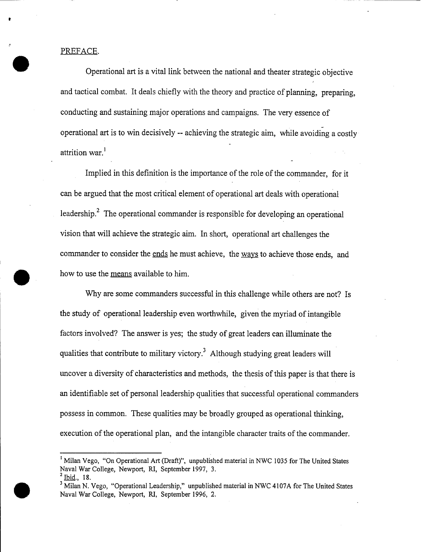PREFACE.

Operational art is a vital link between the national and theater strategic objective and tactical combat. It deals chiefly with the theory and practice of planning, preparing, conducting and sustaining major operations and campaigns. The very essence of operational art is to win decisively -- achieving the strategic aim, while avoiding a costly attrition war.<sup>1</sup>

Implied in this definition is the importance of the role of the commander, for it can be argued that the most critical element of operational art deals with operational leadership.<sup>2</sup> The operational commander is responsible for developing an operational vision that will achieve the strategic aim. In short, operational art challenges the commander to consider the ends he must achieve, the ways to achieve those ends, and how to use the means available to him.

Why are some commanders successful in this challenge while others are not? Is the study of operational leadership even worthwhile, given the myriad of intangible factors involved? The answer is yes; the study of great leaders can illuminate the qualities that contribute to military victory.<sup>3</sup> Although studying great leaders will uncover a diversity of characteristics and methods, the thesis ofthis paper is that there is an identifiable set of personal leadership qualities that successful operational commanders possess in common. These qualities may be broadly grouped as operational thinking, execution of the operational plan, and the intangible character traits of the commander.

<sup>&</sup>lt;sup>1</sup> Milan Vego, "On Operational Art (Draft)", unpublished material in NWC 1035 for The United States Naval War College, Newport, RI, September 1997, 3.

 $^2$  Ibid., 18.

<sup>&</sup>lt;sup>3</sup> Milan N. Vego, "Operational Leadership," unpublished material in NWC 4107A for The United States Naval War College, Newport, RI, September 1996, 2.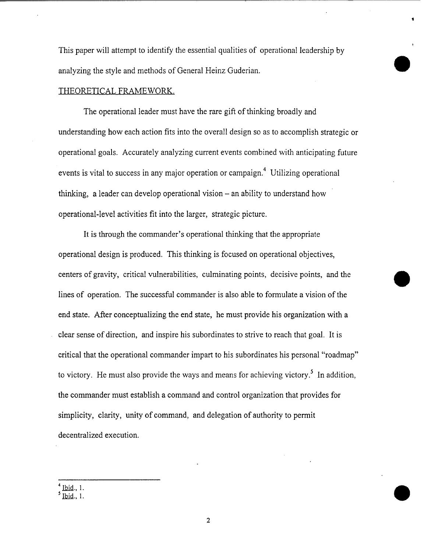This paper will attempt to identify the essential qualities of operational leadership by analyzing the style and methods of General Heinz Guderian.

### THEORETICAL FRAMEWORK.

The operational leader must have the rare gift of thinking broadly and understanding how each action fits into the overall design so as to accomplish strategic or operational goals. Accurately analyzing current events combined with anticipating future events is vital to success in any major operation or campaign.<sup>4</sup> Utilizing operational thinking, a leader can develop operational vision  $-\pi$  an ability to understand how operational-level activities fit into the larger, strategic picture.

It is through the commander's operational thinking that the appropriate operational design is produced. This thinking is focused on operational objectives, centers of gravity, critical vulnerabilities, culminating points, decisive points, and the lines of operation. The successful commander is also able to formulate a vision of the end state. After conceptualizing the end state, he must provide his organization with a clear sense of direction, and inspire his subordinates to strive to reach that goal. It is critical that the operational commander impart to his subordinates his personal "roadmap" to victory. He must also provide the ways and means for achieving victory.<sup>5</sup> In addition, the commander must establish a command and control organization that provides for simplicity, clarity, unity of command, and delegation of authority to permit decentralized execution.

<sup>4</sup> Ibid.. 1.

<sup>5</sup> Ibjd., 1.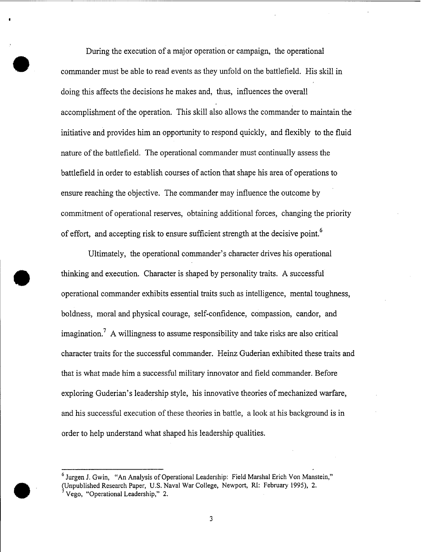During the execution of a major operation or campaign, the operational commander must be able to read events as they unfold on the battlefield. His skill in doing this affects the decisions he makes and, thus, influences the overall accomplishment of the operation. This skill also allows the commander to maintain the initiative and provides him an opportunity to respond quickly, and flexibly to the fluid nature of the battlefield. The operational commander must continually assess the battlefield in order to establish courses of action that shape his area of operations to ensure reaching the objective. The commander may influence the outcome by commitment of operational reserves, obtaining additional forces, changing the priority of effort, and accepting risk to ensure sufficient strength at the decisive point.<sup>6</sup>

Ultimately, the operational commander's character drives his operational thinking and execution. Character is shaped by personality traits. A successful operational commander exhibits essential traits such as intelligence, mental toughness, boldness, moral and physical courage, self-confidence, compassion, candor, and imagination.<sup>7</sup> A willingness to assume responsibility and take risks are also critical character traits for the successful commander. Heinz Guderian exhibited these traits and that is what made him a successful military innovator and field commander. Before exploring Guderian's leadership style, his innovative theories of mechanized warfare, and his successful execution of these theories in battle, a look at his background is in order to help understand what shaped his leadership qualities.

<sup>6</sup> Jurgen J. Gwin, "An Analysis of Operational Leadership: Field Marshal Erich Von Manstein," (Unpublished Research Paper, U.S. Naval War College, Newport, RI: February 1995), 2. <sup>7</sup> Vego, "Operational Leadership," 2.

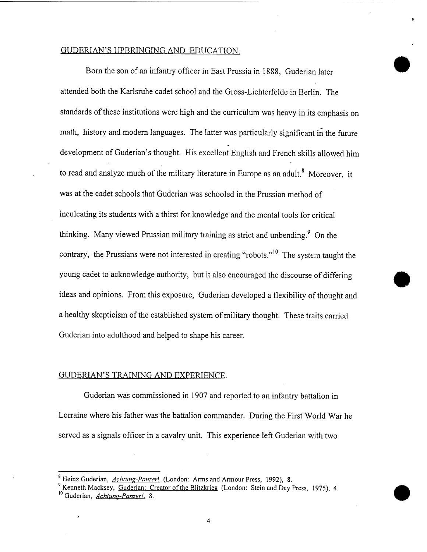## GUDERIAN'S UPBRINGING AND EDUCATION.

Born the son of an infantry officer in East Prussia in 1888, Guderian later attended both the Karlsruhe cadet school and the Gross-Lichterfelde in Berlin. The standards of these institutions were high and the curriculum was heavy in its emphasis on math, history and modern languages. The latter was particularly significant in the future development of Guderian's thought. His excellent English and French skills allowed him to read and analyze much of the military literature in Europe as an adult.<sup>8</sup> Moreover, it was at the cadet schools that Guderian was schooled in the Prussian method of inculcating its students with a thirst for knowledge and the mental tools for critical thinking. Many viewed Prussian military training as strict and unbending.<sup>9</sup> On the contrary, the Prussians were not interested in creating "robots."<sup>10</sup> The system taught the young cadet to acknowledge authority, but it also encouraged the discourse of differing ideas and opinions. From this exposure, Guderian developed a flexibility of thought and a healthy skepticism of the established system of military thought. These traits carried Guderian into adulthood and helped to shape his career.

#### GUDERIAN'S TRAINING AND EXPERIENCE.

Guderian was commissioned in 1907 and reported to an infantry battalion in Lorraine where his father was the battalion commander. During the First World War he served as a signals officer in a cavalry unit. This experience left Guderian with two

 $\boldsymbol{4}$ 

<sup>&</sup>lt;sup>8</sup> Heinz Guderian, *Achtung-Panzer*! (London: Arms and Armour Press, 1992), 8.

<sup>9</sup> Kenneth Macksey, Guderian: Creator of the Blitzkrieg (London: Stein and Day Press, 1975), 4. Guderian, *Achtung-Panzer!.* 8.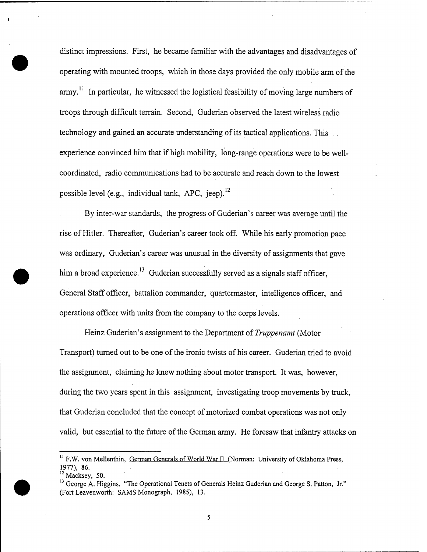distinct impressions. First, he became familiar with the advantages and disadvantages of operating with mounted troops, which in those days provided the only mobile arm of the  $army$ .<sup>11</sup> In particular, he witnessed the logistical feasibility of moving large numbers of troops through difficult terrain. Second, Guderian observed the latest wireless radio technology and gained an accurate understanding of its tactical applications. This*'.'..* experience convinced him that if high mobility, long-range operations were to be wellcoordinated, radio communications had to be accurate and reach down to the lowest possible level (e.g., individual tank, APC, ieep).<sup>12</sup>

By inter-war standards, the progress of Guderian's career was average until the rise of Hitler. Thereafter, Guderian's career took off. While his early promotion pace was ordinary, Guderian's career was unusual in the diversity of assignments that gave him a broad experience.<sup>13</sup> Guderian successfully served as a signals staff officer, General Staff officer, battalion commander, quartermaster, intelligence officer, and operations officer with units from the company to the corps levels.

Heinz Guderian's assignment to the Department of *Truppenamt* (Motor Transport) turned out to be one of the ironic twists of his career. Guderian tried to avoid the assignment, claiming he knew nothing about motor transport. It was, however, during the two years spent in this assignment, investigating troop movements by truck, that Guderian concluded that the concept of motorized combat operations was not only valid, but essential to the future of the German army. He foresaw that infantry attacks on

<sup>&</sup>lt;sup>11</sup> F.W. von Mellenthin, German Generals of World War II (Norman: University of Oklahoma Press, 1977), 86.

 $12$  Macksey, 50.

<sup>&</sup>lt;sup>13</sup> George A. Higgins, "The Operational Tenets of Generals Heinz Guderian and George S. Patton, Jr." (Fort Leavenworth: SAMS Monograph, 1985), 13.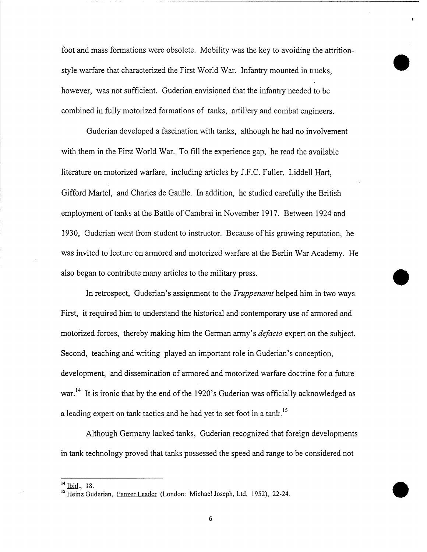foot and mass formations were obsolete. Mobility was the key to avoiding the attritionstyle warfare that characterized the First World War. Infantry mounted in trucks, however, was not sufficient. Guderian envisioned that the infantry needed to be combined in fully motorized formations of tanks, artillery and combat engineers.

Guderian developed a fascination with tanks, although he had no involvement with them in the First World War. To fill the experience gap, he read the available literature on motorized warfare, including articles by J.F.C. Fuller, Liddell Hart, Gifford Martel, and Charles de Gaulle. In addition, he studied carefully the British employment of tanks at the Battle of Cambrai in November 1917. Between 1924 and 1930, Guderian went from student to instructor. Because of his growing reputation, he was invited to lecture on armored and motorized warfare at the Berlin War Academy. He also began to contribute many articles to the military press.

In retrospect, Guderian's assignment to the *Truppenamt* helped him in two ways. First, it required him to understand the historical and contemporary use of armored and motorized forces, thereby making him the German army's *defacto* expert on the subject. Second, teaching and writing played an important role in Guderian's conception, development, and dissemination of armored and motorized warfare doctrine for a future war.<sup>14</sup> It is ironic that by the end of the 1920's Guderian was officially acknowledged as a leading expert on tank tactics and he had yet to set foot in a tank.<sup>15</sup>

Although Germany lacked tanks, Guderian recognized that foreign developments in tank technology proved that tanks possessed the speed and range to be considered not

<sup>&</sup>lt;sup>14</sup> Ibid., 18.

<sup>&</sup>lt;sup>15</sup> Heinz Guderian, Panzer Leader (London: Michael Joseph, Ltd, 1952), 22-24.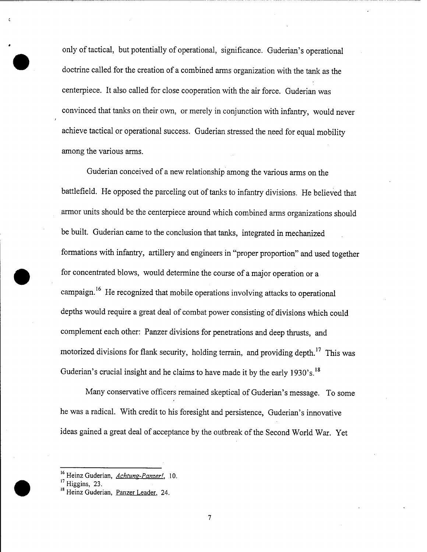only of tactical, but potentially of operational, significance. Guderian's operational doctrine called for the creation of a combined arms organization with the tank as the centerpiece. It also called for close cooperation with the air force. Guderian was convinced that tanks on their own, or merely in conjunction with infantry, would never achieve tactical or operational success. Guderian stressed the need for equal mobility among the various arms.

Guderian conceived of a new relationship among the various arms on the battlefield. He opposed the parceling out of tanks to infantry divisions. He believed that armor units should be the centerpiece around which combined arms organizations should be built. Guderian came to the conclusion that tanks, integrated in mechanized formations with infantry, artillery and engineers in "proper proportion" and used together for concentrated blows, would determine the course of a major operation or a campaign.<sup>16</sup> He recognized that mobile operations involving attacks to operational depths would require a great deal of combat power consisting of divisions which could complement each other: Panzer divisions for penetrations and deep thrusts, and motorized divisions for flank security, holding terrain, and providing depth.<sup>17</sup> This was Guderian's crucial insight and he claims to have made it by the early  $1930$ 's.<sup>18</sup>

Many conservative officers remained skeptical of Guderian's message. To some he was a radical. With credit to his foresight and persistence, Guderian's innovative ideas gained a great deal of acceptance by the outbreak of the Second World War. Yet

<sup>&</sup>lt;sup>16</sup> Heinz Guderian, *Achtung-Panzer!*, 10.

 $^{\prime\prime}$  Higgins, 23.

Heinz Guderian, <u>Panzer Leader</u>, 24.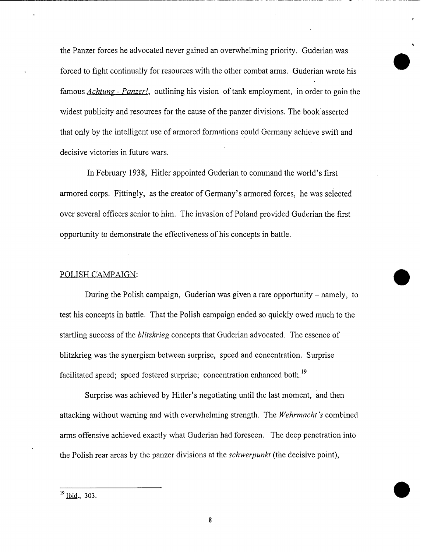the Panzer forces he advocated never gained an overwhelming priority. Guderian was forced to fight continually for resources with the other combat arms. Guderian wrote his famous *Achtung - Panzer!,* outlining his vision oftank employment, in order to gain the widest publicity and resources for the cause of the panzer divisions. The book asserted that only by the intelligent use of armored formations could Germany achieve swift and decisive victories in future wars.

In February 1938, Hitler appointed Guderian to command the world's first armored corps. Fittingly, as the creator of Germany's armored forces, he was selected over several officers senior to him. The invasion of Poland provided Guderian the first opportunity to demonstrate the effectiveness of his concepts in battle.

### POLISH CAMPAIGN:

During the Polish campaign, Guderian was given a rare opportunity – namely, to test his concepts in battle. That the Polish campaign ended so quickly owed much to the startling success ofthe *blitzkrieg* concepts that Guderian advocated. The essence of blitzkrieg was the synergism between surprise, speed and concentration. Surprise facilitated speed; speed fostered surprise; concentration enhanced both.<sup>19</sup>

Surprise was achieved by Hitler's negotiating until the last moment, and then attacking without warning and with overwhelming strength. The *Wehrmacht 's* combined arms offensive achieved exactly what Guderian had foreseen. The deep penetration into the Polish rear areas by the panzer divisions at the *Schwerpunkt* (the decisive point),

<sup>&</sup>lt;sup>19</sup> Ibid., 303.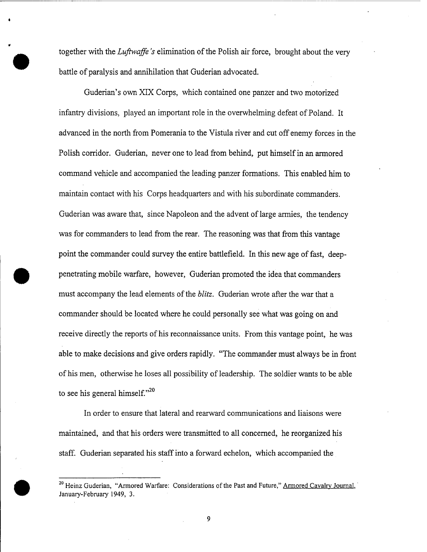together with the *Luftwaffe's* elimination of the Polish air force, brought about the very battle of paralysis and annihilation that Guderian advocated.

**•**

Guderian's own XIX Corps, which contained one panzer and two motorized infantry divisions, played an important role in the overwhelming defeat of Poland. It advanced in the north from Pomerania to the Vistula river and cut off enemy forces in the Polish corridor. Guderian, never one to lead from behind, put himself in an armored command vehicle and accompanied the leading panzer formations. This enabled him to maintain contact with his Corps headquarters and with his subordinate commanders. Guderian was aware that, since Napoleon and the advent of large armies, the tendency was for commanders to lead from the rear. The reasoning was that from this vantage point the commander could survey the entire battlefield. In this new age of fast, deeppenetrating mobile warfare, however, Guderian promoted the idea that commanders must accompany the lead elements of the *blitz*. Guderian wrote after the war that a commander should be located where he could personally see what was going on and receive directly the reports of his reconnaissance units. From this vantage point, he was able to make decisions and give orders rapidly. "The commander must always be in front of his men, otherwise he loses all possibility of leadership. The soldier wants to be able to see his general himself."<sup>20</sup>

In order to ensure that lateral and rearward communications and liaisons were maintained, and that his orders were transmitted to all concerned, he reorganized his staff. Guderian separated his staffinto a forward echelon, which accompanied the

<sup>&</sup>lt;sup>20</sup> Heinz Guderian, "Armored Warfare: Considerations of the Past and Future," Armored Cavalry Journal, January-February 1949, 3.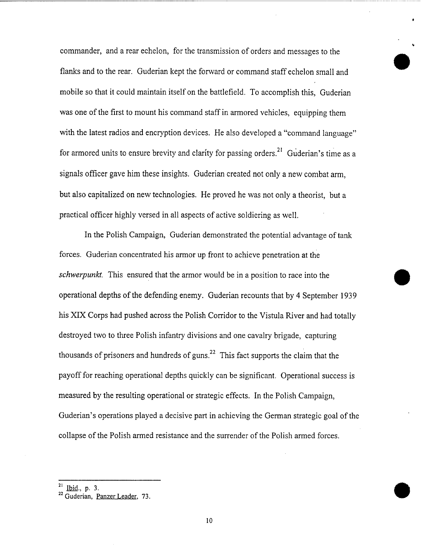commander, and a rear echelon, for the transmission of orders and messages to the flanks and to the rear. Guderian kept the forward or command staff echelon small and mobile so that it could maintain itself on the battlefield. To accomplish this, Guderian was one of the first to mount his command staff in armored vehicles, equipping them with the latest radios and encryption devices. He also developed a "command language" for armored units to ensure brevity and clarity for passing orders.<sup>21</sup> Guderian's time as a signals officer gave him these insights. Guderian created not only a new combat arm, but also capitalized on new technologies. He proved he was not only a theorist, but a practical officer highly versed in all aspects of active soldiering as well.

In the Polish Campaign, Guderian demonstrated the potential advantage of tank forces. Guderian concentrated his armor up front to achieve penetration at the *Schwerpunkt.* This ensured that the armor would be in a position to race into the operational depths of the defending enemy. Guderian recounts that by 4 September 1939 his XIX Corps had pushed across the Polish Corridor to the Vistula River and had totally destroyed two to three Polish infantry divisions and one cavalry brigade, capturing thousands of prisoners and hundreds of guns.<sup>22</sup> This fact supports the claim that the payoff for reaching operational depths quickly can be significant. Operational success is measured by the resulting operational or strategic effects. In the Polish Campaign, Guderian's operations played a decisive part in achieving the German strategic goal of the collapse of the Polish armed resistance and the surrender of the Polish armed forces.

 $21$  Ibid., p. 3.

<sup>&</sup>lt;sup>22</sup> Guderian, Panzer Leader, 73.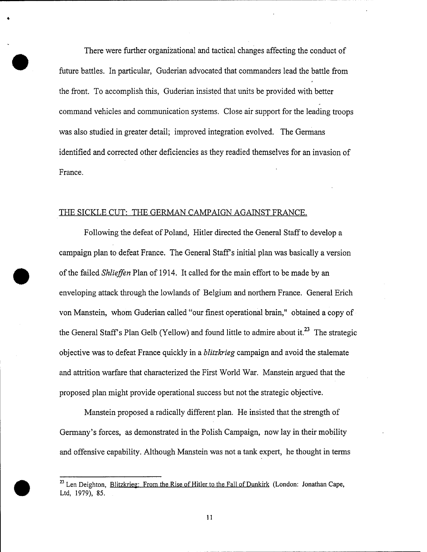There were further organizational and tactical changes affecting the conduct of future battles. In particular, Guderian advocated that commanders lead the battle from the front. To accomplish this, Guderian insisted that units be provided with better command vehicles and communication systems. Close air support for the leading troops was also studied in greater detail; improved integration evolved. The Germans identified and corrected other deficiencies as they readied themselves for an invasion of France.

### THE SICKLE CUT: THE GERMAN CAMPAIGN AGAINST FRANCE.

Following the defeat of Poland, Hitler directed the General Staff to develop a campaign plan to defeat France. The General Staff's initial plan was basically a version of the failed *Shlieffen* Plan of 1914. It called for the main effort to be made by an enveloping attack through the lowlands of Belgium and northern France. General Erich von Manstein, whom Guderian called "our finest operational brain," obtained a copy of the General Staff's Plan Gelb (Yellow) and found little to admire about it.<sup>23</sup> The strategic objective was to defeat France quickly in a *blitzkrieg* campaign and avoid the stalemate and attrition warfare that characterized the First World War. Manstein argued that the proposed plan might provide operational success but not the strategic objective.

Manstein proposed a radically different plan. He insisted that the strength of Germany's forces, as demonstrated in the Polish Campaign, now lay in their mobility and offensive capability. Although Manstein was not a tank expert, he thought in terms

 $^{23}$  Len Deighton, Blitzkrieg: From the Rise of Hitler to the Fall of Dunkirk (London: Jonathan Cape, Ltd, 1979), 85.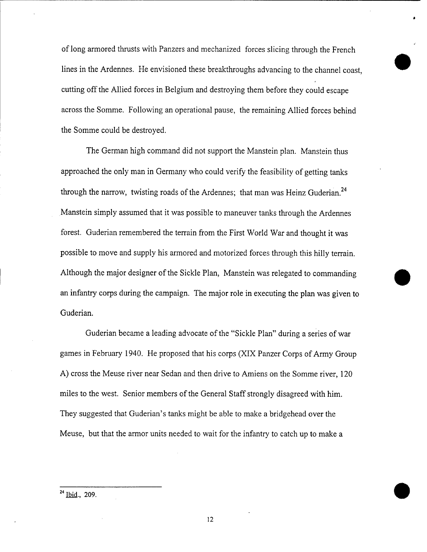of long armored thrusts with Panzers and mechanized forces slicing through the French lines in the Ardennes. He envisioned these breakthroughs advancing to the channel coast, cutting off the Allied forces in Belgium and destroying them before they could escape across the Somme. Following an operational pause, the remaining Allied forces behind the Somme could be destroyed.

The German high command did not support the Manstein plan. Manstein thus approached the only man in Germany who could verify the feasibility of getting tanks through the narrow, twisting roads of the Ardennes; that man was Heinz Guderian.<sup>24</sup> Manstein simply assumed that it was possible to maneuver tanks through the Ardennes forest. Guderian remembered the terrain from the First World War and thought it was possible to move and supply his armored and motorized forces through this hilly terrain. Although the major designer of the Sickle Plan, Manstein was relegated to commanding an infantry corps during the campaign. The major role in executing the plan was given to Guderian.

Guderian became a leading advocate of the "Sickle Plan" during a series of war games in February 1940. He proposed that his corps (XIX Panzer Corps of Army Group A) cross the Meuse river near Sedan and then drive to Amiens on the Somme river, 120 miles to the west. Senior members of the General Staff strongly disagreed with him. They suggested that Guderian's tanks might be able to make a bridgehead over the Meuse, but that the armor units needed to wait for the infantry to catch up to make a

 $^{24}$  Ibid., 209.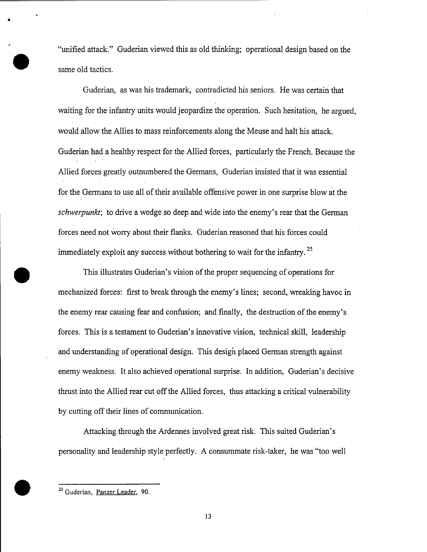"unified attack." Guderian viewed this as old thinking; operational design based on the same old tactics.

Guderian, as was his trademark, contradicted his seniors. He was certain that waiting for the infantry units would jeopardize the operation. Such hesitation, he argued, would allow the Allies to mass reinforcements along the Meuse and halt his attack. Guderian had a healthy respect for the Allied forces, particularly the French. Because the Allied forces greatly outnumbered the Germans, Guderian insisted that it was essential for the Germans to use all of their available offensive power in one surprise blow at the *Schwerpunkt;* to drive a wedge so deep and wide into the enemy's rear that the German forces need not worry about their flanks. Guderian reasoned that his forces could immediately exploit any success without bothering to wait for the infantry.<sup>25</sup>

This illustrates Guderian's vision of the proper sequencing of operations for mechanized forces: first to break through the enemy's lines; second, wreaking havoc in the enemy rear causing fear and confusion; and finally, the destruction of the enemy's forces. This is a testament to Guderian's innovative vision, technical skill, leadership and understanding of operational design. This design placed German strength against enemy weakness. It also achieved operational surprise. In addition, Guderian's decisive thrust into the Allied rear cut off the Allied forces, thus attacking a critical vulnerability by cutting off their lines of communication.

Attacking through the Ardennes involved great risk. This suited Guderian's personality and leadership style perfectly. A consummate risk-taker, he was "too well

<sup>&</sup>lt;sup>25</sup> Guderian, Panzer Leader, 90.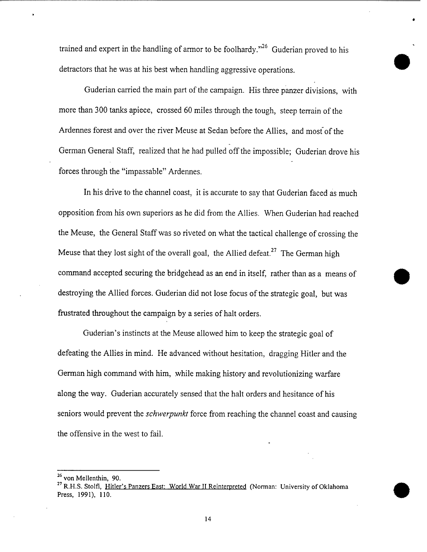trained and expert in the handling of armor to be foolhardy."<sup>26</sup> Guderian proved to his detractors that he was at his best when handling aggressive operations.

Guderian carried the main part of the campaign. His three panzer divisions, with more than 300 tanks apiece, crossed 60 miles through the tough, steep terrain of the Ardennes forest and over the river Meuse at Sedan before the Allies, and most of the German General Staff, realized that he had pulled off the impossible; Guderian drove his forces through the "impassable" Ardennes.

In his drive to the channel coast, it is accurate to say that Guderian faced as much opposition from his own superiors as he did from the Allies. When Guderian had reached the Meuse, the General Staff was so riveted on what the tactical challenge of crossing the Meuse that they lost sight of the overall goal, the Allied defeat.<sup>27</sup> The German high command accepted securing the bridgehead as an end in itself, rather than as a means of destroying the Allied forces. Guderian did not lose focus of the strategic goal, but was frustrated throughout the campaign by a series of halt orders.

Guderian's instincts at the Meuse allowed him to keep the strategic goal of defeating the Allies in mind. He advanced without hesitation, dragging Hitler and the German high command with him, while making history and revolutionizing warfare along the way. Guderian accurately sensed that the halt orders and hesitance of his seniors would prevent the *Schwerpunkt* force from reaching the channel coast and causing the offensive in the west to fail.

<sup>26</sup> von Mellenthin, 90.

<sup>&</sup>lt;sup>27</sup> R.H.S. Stolfi, Hitler's Panzers East: World War II Reinterpreted (Norman: University of Oklahoma Press, 1991), 110.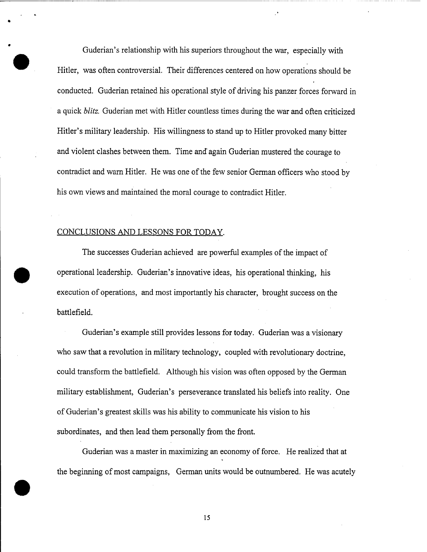Guderian's relationship with his superiors throughout the war, especially with Hitler, was often controversial. Their differences centered on how operations should be conducted. Guderian retained his operational style of driving his panzer forces forward in a quick *blitz.* Guderian met with Hitler countless times during the war and often criticized Hitler's military leadership. His willingness to stand up to Hitler provoked many bitter and violent clashes between them. Time and again Guderian mustered the courage to contradict and warn Hitler. He was one of the few senior German officers who stood by his own views and maintained the moral courage to contradict Hitler.

#### CONCLUSIONS AND LESSONS FOR TODAY.

The successes Guderian achieved are powerful examples of the impact of operational leadership. Guderian's innovative ideas, his operational thinking, his execution of operations, and most importantly his character, brought success on the battlefield.

Guderian's example still provides lessons for today. Guderian was a visionary who saw that a revolution in military technology, coupled with revolutionary doctrine, could transform the battlefield. Although his vision was often opposed by the German military establishment, Guderian's perseverance translated his beliefs into reality. One of Guderian's greatest skills was his ability to communicate his vision to his subordinates, and then lead them personally from the front.

Guderian was a master in maximizing an economy of force. He realized that at the beginning of most campaigns, German units would be outnumbered. He was acutely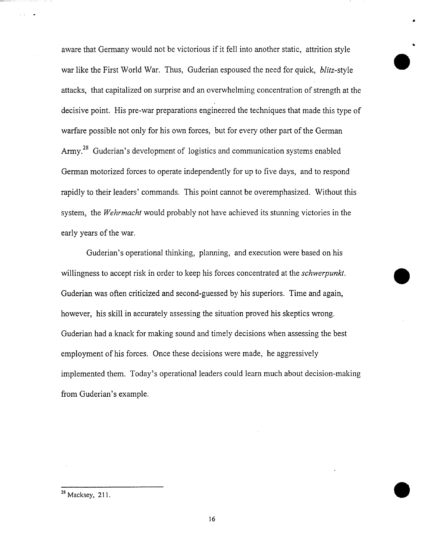aware that Germany would not be victorious if it fell into another static, attrition style war like the First World War. Thus, Guderian espoused the need for quick, *blitz-style.* attacks, that capitalized on surprise and an overwhelming concentration of strength at the decisive point. His pre-war preparations engineered the techniques that made this type of warfare possible not only for his own forces, but for every other part of the German Army.<sup>28</sup> Guderian's development of logistics and communication systems enabled German motorized forces to operate independently for up to five days, and to respond rapidly to their leaders' commands. This point cannot be overemphasized. Without this system, the *Wehrmacht* would probably not have achieved its stunning victories in the early years of the war.

Guderian's operational thinking, planning, and execution were based on his willingness to accept risk in order to keep his forces concentrated at the *Schwerpunkt.* Guderian was often criticized and second-guessed by his superiors. Time and again, however, his skill in accurately assessing the situation proved his skeptics wrong. Guderian had a knack for making sound and timely decisions when assessing the best employment of his forces. Once these decisions were made, he aggressively implemented them. Today's operational leaders could learn much about decision-making from Guderian's example.

<sup>&</sup>lt;sup>28</sup> Macksey, 211.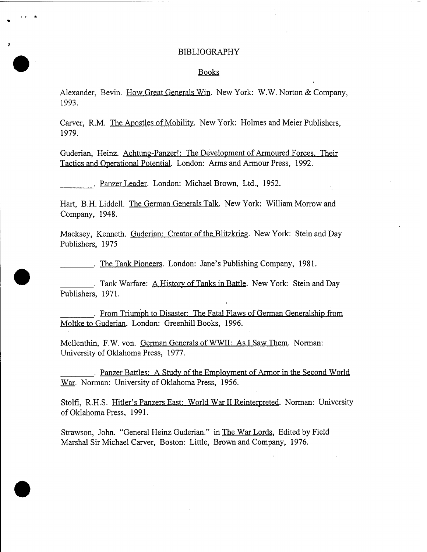#### BIBLIOGRAPHY

#### Books

Alexander, Bevin. How Great Generals Win. New York: W.W. Norton & Company, 1993.

Carver, R.M. The Apostles of Mobility. New York: Holmes and Meier Publishers, 1979.

Guderian, Heinz. Achtung-Panzer!: The Development of Armoured Forces. Their Tactics and Operational Potential. London: Arms and Armour Press, 1992.

. Panzer Leader. London: Michael Brown, Ltd., 1952.

**•**

**•**

Hart, B.H. Liddell. The German Generals Talk. New York: William Morrow and Company, 1948.

Macksey, Kenneth. Guderian: Creator of the Blitzkrieg. New York: Stein and Dav Publishers, 1975

. The Tank Pioneers. London: Jane's Publishing Company, 1981.

. Tank Warfare: A History of Tanks in Battle. New York: Stein and Day Publishers, 1971.

. From Triumph to Disaster: The Fatal Flaws of German Generalship from Moltke to Guderian. London: Greenhill Books, 1996.

Mellenthin, F.W. von. German Generals of WWII: As I Saw Them. Norman: University of Oklahoma Press, 1977.

. Panzer Battles: A Study of the Employment of Armor in the Second World War. Norman: University of Oklahoma Press, 1956.

Stolfi, R.H.S. Hitler's Panzers East: World War II Reinterpreted. Norman: University of Oklahoma Press, 1991.

Strawson, John. "General Heinz Guderian." in The War Lords, Edited by Field Marshal Sir Michael Carver, Boston: Little, Brown and Company, 1976.